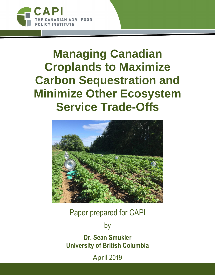

[CANADIAN AGRI-FOOD POLICY INSTITUTE](https://capi-icpa.ca/)

# **Managing Canadian Croplands to Maximize Carbon Sequestration and Minimize Other Ecosystem Service Trade-Offs**



Paper prepared for [CAPI](https://capi-icpa.ca/)

by

**Dr. [Sean Smukler](https://twitter.com/@smsmukler) University of British Columbia**

April 2019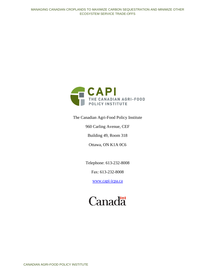

The Canadian Agri-Food Policy Institute

960 Carling Avenue, CEF

Building 49, Room 318

Ottawa, ON K1A 0C6

Telephone: 613-232-8008

Fax: 613-232-8008

[www.capi-icpa.ca](http://www.capi-icpa.ca/)

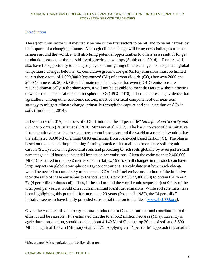# Introduction

The agricultural sector will inevitably be one of the first sectors to be hit, and to be hit hardest by the impacts of a changing climate. Although climate change will bring new challenges to most farmers around the world, it will also bring potential opportunities to others as a result of longer production seasons or the possibility of growing new crops (Smith et al. 2014). Farmers will also have the opportunity to be major players in mitigating climate change. To keep mean global temperature changes below  $2^{\circ}C$ , cumulative greenhouse gas (GHG) emissions must be limited to less than a total of 1,000,000 Megatonnes<sup>1</sup> (Mt) of carbon dioxide (CO<sub>2</sub>) between 2000 and 2050 (Frame et al. 2009). Global climate models indicate that even if GHG emissions are reduced dramatically in the short-term, it will not be possible to meet this target without drawing down current concentrations of atmospheric  $CO<sub>2</sub>$  (IPCC 2018). There is increasing evidence that agriculture, among other economic sectors, must be a critical component of our near-term strategy to mitigate climate change, primarily through the capture and sequestration of  $CO<sub>2</sub>$  in soils (Smith et al. 2014).

In December of 2015, members of COP21 initiated the "4 per mille" *Soils for Food Security and Climate* program (Paustian et al. 2016, Minasny et al. 2017). The basic concept of this initiative is to operationalize a plan to sequester carbon in soils around the world at a rate that would offset the estimated 8,900 Mt of annual GHG emissions from fossil-fuel based carbon (C). The plan is based on the idea that implementing farming practices that maintain or enhance soil organic carbon (SOC) stocks in agricultural soils and protecting C-rich soils globally by even just a small percentage could have a substantial impact on net emissions. Given the estimate that 2,400,000 Mt of C is stored in the top 2 metres of soil (Batjes, 1996), small changes in this stock can have large impacts on global atmospheric  $CO<sub>2</sub>$  concentrations. To calculate just how much change would be needed to completely offset annual  $CO<sub>2</sub>$  fossil fuel emissions, authors of the initiative took the ratio of these emissions to the total soil C stock (8,900 /2,400,000) to obtain 0.4 % or 4 ‰ (4 per mille or thousand). Thus, if the soil around the world could sequester just 0.4 % of the total pool per year, it would offset current annual fossil fuel emissions. While soil scientists have been highlighting this potential for more than 20 years (Post et al. 1982), the "4 per mille" initiative seems to have finally provided substantial traction to the idea [\(www.4p1000.org\)](https://www.4p1000.org/).

Given the vast area of land in agricultural production in Canada, our national contribution to this effort could be sizeable. It is estimated that the total 55.2 million hectares (Mha), currently in agricultural production, should contain about 4,140 Mt of C in the top 30 cm of soil and 5,500 Mt to a depth of 100 cm (Minasny et al. 2017). Applying the "4 per mille" approach to Canadian

 $\overline{a}$ 

<sup>&</sup>lt;sup>1</sup> Megatonne (Mt) is equivalent to 1 billion kilograms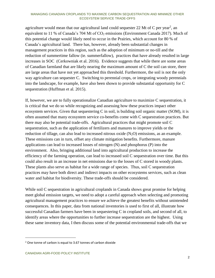agriculture would mean that our agricultural land could sequester 22 Mt of C per year<sup>2</sup>, an equivalent to 11 % of Canada's 704 Mt of  $CO<sub>2</sub>$  emissions (Environment Canada 2017). Much of this potential change would likely need to occur in the Prairies, which account for 80 % of Canada's agricultural land. There has, however, already been substantial changes in management practices in this region, such as the adoption of minimum or no-till and the reduction of summertime fallow (ie. summerfallow), practices that have already resulted in large increases in SOC (Cerkowniak et al. 2016). Evidence suggests that while there are some areas of Canadian farmland that are likely nearing the maximum amount of C the soil can store, there are large areas that have not yet approached this threshold. Furthermore, the soil is not the only way agriculture can sequester C. Switching to perennial crops, or integrating woody perennials into the landscape, for example, have also been shown to provide substantial opportunity for C sequestration (Huffman et al. 2015).

If, however, we are to fully operationalize Canadian agriculture to maximize C sequestration, it is critical that we do so while recognizing and assessing how these practices impact other ecosystem services. Given that sequestering C in soil, is building soil organic matter (SOM), it is often assumed that many ecosystem service co-benefits come with C sequestration practices. But there may also be potential trade-offs. Agricultural practices that might promote soil C sequestration, such as the application of fertilizers and manures to improve yields or the reduction of tillage, can also lead to increased nitrous oxide  $(N_2O)$  emissions, as an example. These emissions can in turn, offset any climate mitigation benefits. Furthermore, manure applications can lead to increased losses of nitrogen (N) and phosphorus (P) into the environment. Also, bringing additional land into agricultural production to increase the efficiency of the farming operation, can lead to increased soil C sequestration over time. But this could also result in an increase in net emissions due to the losses of C stored in woody plants. These plants also serve as habitat for a wide range of species. Thus, soil C sequestration practices may have both direct and indirect impacts on other ecosystems services, such as clean water and habitat for biodiversity. These trade-offs should be considered.

While soil C sequestration in agricultural croplands in Canada shows great promise for helping meet global emission targets, we need to adopt a careful approach when selecting and promoting agricultural management practices to ensure we achieve the greatest benefits without unintended consequences. In this paper, data from national inventories is used to first of all, illustrate how successful Canadian farmers have been in sequestering C in cropland soils, and second of all, to identify areas where the opportunities to further increase sequestration are the highest. Using these same inventory data, I then discuss some of the potential environmental trade-offs that we

 $\overline{a}$ 

 $2$  One tonne of carbon is equal to 3.67 tonnes of carbon dioxide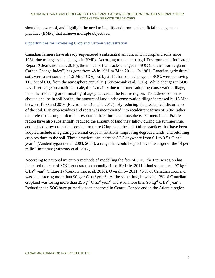should be aware of, and highlight the need to identify and promote beneficial management practices (BMPs) that achieve multiple objectives.

# Opportunities for Increasing Cropland Carbon Sequestration

Canadian farmers have already sequestered a substantial amount of C in cropland soils since 1981, due to large-scale changes in BMPs. According to the latest Agri-Environmental Indicators Report (Clearwater et al. 2016), the indicator that tracks changes in SOC (i.e. the "Soil Organic Carbon Change Index") has gone from 48 in 1981 to 74 in 2011. In 1981, Canadian agricultural soils were a net source of 1.2 Mt of CO<sub>2</sub>, but by 2011, based on changes in SOC, were removing 11.9 Mt of CO<sup>2</sup> from the atmosphere annually (Cerkowniak et al. 2016). While changes in SOC have been large on a national scale, this is mainly due to farmers adopting conservation tillage, i.e. either reducing or eliminating tillage practices in the Prairie region. To address concerns about a decline in soil health, the amount of land under conservation tillage increased by 15 Mha between 1990 and 2016 (Environment Canada 2017). By reducing the mechanical disturbance of the soil, C in crop residues and roots was incorporated into recalcitrant forms of SOM rather than released through microbial respiration back into the atmosphere. Farmers in the Prairie region have also substantially reduced the amount of land they fallow during the summertime, and instead grow crops that provide far more C inputs in the soil. Other practices that have been adopted include integrating perennial crops in rotations, improving degraded lands, and returning crop residues to the soil. These practices can increase SOC anywhere from 0.1 to 0.5 t C ha<sup>-1</sup> year−1 (VandenBygaart et al. 2003, 2008), a range that could help achieve the target of the "4 per mille" initiative (Minasny et al. 2017).

According to national inventory methods of modelling the fate of SOC, the Prairie region has increased the rate of SOC sequestration annually since 1981: by 2011 it had sequestered 97 kg<sup>-1</sup> C ha<sup>-1</sup> year<sup>-1</sup> [\(Figure 1\)](#page-5-0) (Cerkowniak et al. 2016). Overall, by 2011, 46 % of Canadian cropland was sequestering more than 90  $kg^{-1}$  C ha<sup>-1</sup> year<sup>-1</sup>. At the same time, however, 13% of Canadian cropland was losing more than 25  $kg^{-1}$  C ha<sup>-1</sup> year<sup>-1</sup> and 9 %, more than 90  $kg^{-1}$  C ha<sup>-1</sup> year<sup>-1</sup>. Reductions in SOC have primarily been observed in Central Canada and in the Atlantic region.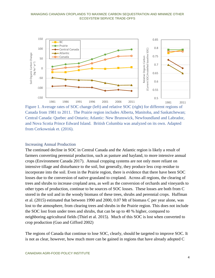

<span id="page-5-0"></span>Figure 1. Average rates of SOC change (left) and relative SOC (right) for different regions of Canada from 1981 to 2011. The Prairie region includes Alberta, Manitoba, and Saskatchewan; Central Canada: Quebec and Ontario; Atlantic: New Brunswick, Newfoundland and Labrador, and Nova Scotia Prince Edward Island. British Columbia was analyzed on its own. Adapted from Cerkowniak et. (2016).

## Increasing Annual Production

The continued decline in SOC in Central Canada and the Atlantic region is likely a result of farmers converting perennial production, such as pasture and hayland, to more intensive annual crops (Environment Canada 2017). Annual cropping systems are not only more reliant on intensive tillage and disturbance to the soil, but generally, they produce less crop residue to incorporate into the soil. Even in the Prairie region, there is evidence that there have been SOC losses due to the conversion of native grassland to cropland. Across all regions, the clearing of trees and shrubs to increase cropland area, as well as the conversion of orchards and vineyards to other types of production, continue to be sources of SOC losses. These losses are both from C stored in the soil and in the woody biomass of these trees, shrubs and perennial crops. Huffman et al. (2015) estimated that between 1990 and 2000, 0.07 Mt of biomass C per year alone, was lost to the atmosphere, from clearing trees and shrubs in the Prairie region. This does not include the SOC lost from under trees and shrubs, that can be up to 40 % higher, compared to neighboring agricultural fields (Thiel et al. 2015). Much of this SOC is lost when converted to crop production (Guo and Gifford 2002)

The regions of Canada that continue to lose SOC, clearly, should be targeted to improve SOC. It is not as clear, however, how much more can be gained in regions that have already adopted C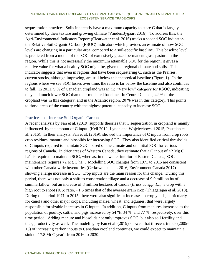sequestration practices. Soils inherently have a maximum capacity to store C that is largely determined by their texture and growing climate (VandenBygaart 2016). To address this, the Agri-Environmental Indicators Report (Clearwater et al. 2016) tracks a second SOC indicatorthe Relative Soil Organic Carbon (RSOC) Indicator- which provides an estimate of how SOC levels are changing in a particular area, compared to a soil-specific baseline. This baseline level is predicted from a model of the SOC of extensively grazed permanent grass pasture in the region. While this is not necessarily the maximum attainable SOC for the region, it gives a relative value for what a healthy SOC might be, given the regional climate and soils. This indicator suggests that even in regions that have been sequestering C, such as the Prairies, current stocks, although improving, are still below this theoretical baseline [\(Figure 1\)](#page-5-0). In the regions where we see SOC losses over time, the ratio is far below the baseline and also continues to fall. In 2011, 9 % of Canadian cropland was in the "Very low" category for RSOC, indicating they had much lower SOC than their modelled baseline. In Central Canada, 42 % of the cropland was in this category, and in the Atlantic region, 20 % was in this category. This points to those areas of the country with the highest potential capacity to increase SOC.

# Practices that Increase Soil Organic Carbon

A recent analysis by Fan et al. (2019) supports theories that C sequestration in cropland is mainly influenced by the amount of C input (Kell 2012, Lynch and Wojciechowski 2015, Paustian et al. 2016). In their analysis, Fan et al. (2019), showed the importance of C inputs from crop roots, crop residues, manure and biosolids for increasing SOC. They also identified critical thresholds of C inputs required to maintain SOC, based on the climate and on initial SOC for various regions of Canada. In drier areas of Western Canada, they estimate that a C input of <2 Mg C ha<sup>-1</sup> is required to maintain SOC, whereas, in the wetter interior of Eastern Canada, SOC maintenance requires  $>2$  Mg C ha<sup>-1</sup>. Modelling SOC changes from 1971 to 2015 are consistent with other Canada-wide inventories (Cerkowniak et al. 2016, Environment Canada 2017) showing a large increase in SOC. Crop inputs are the main reason for this change. During this period, there was not only a shift to conservation tillage and a decrease of 9.9 million ha of summerfallow, but an increase of 8 million hectares of canola (*Brassica spp. L.),* a crop with a high root to shoot (R/S) ratio, ~1.5 times that of the average grain crop (Thiagarajan et al. 2018). During the period 1971 to 2015, there were also significant increases in crop yields, particularly for canola and other major crops, including maize, wheat, and legumes, that were largely responsible for sizable increases in C inputs. In addition, C inputs from manures increased as the population of poultry, cattle, and pigs increased by 54 %, 34 %, and 77 %, respectively, over this time period. Adding manure and biosolids not only improves SOC, but also soil fertility and thus, productivity as well. The modeling by Fan et al. (2019) showed that if recent trends (2005- 15) of increasing carbon inputs to Canadian cropland continues, we could expect to maintain a sink of 17.8 Mt C year<sup>-1</sup> from 2016 to 2030.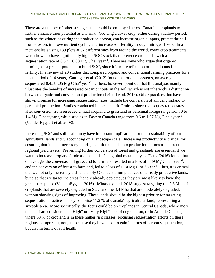There are a number of other strategies that could be employed across Canadian croplands to further enhance their potential as a C sink. Growing a cover crop, either during a fallow period, such as the winter, or during the production season, can increase organic inputs, protect the soil from erosion, improve nutrient cycling and increase soil fertility through nitrogen fixers. In a meta-analysis using 139 plots at 37 different sites from around the world, cover crop treatments were shown to have significantly higher SOC stock than reference croplands, with a sequestration rate of  $0.32 \pm 0.08$  Mg C ha<sup>-1</sup> year<sup>-1</sup>. There are some who argue that organic farming has a greater potential to build SOC, since it is more reliant on organic inputs for fertility. In a review of 20 studies that compared organic and conventional farming practices for a mean period of 14 years, Gattinger et al. (2012) found that organic systems, on average, sequestered  $0.45 \pm 1.05$  Mg C ha<sup>-1</sup> year<sup>-1</sup>. Others, however, point out that this analysis mainly illustrates the benefits of increased organic inputs in the soil, which is not inherently a distinction between organic and conventional production (Leifeld et al. 2013). Other practices that have shown promise for increasing sequestration rates, include the conversion of annual cropland to perennial production. Studies conducted in the semiarid Prairies show that sequestration rates after conversion from reseeded annual cropland to grassland or perennial forage range from 0 to 1.4 Mg C ha<sup>-1</sup> year<sup>-1</sup>, while studies in Eastern Canada range from 0.6 to 1.07 Mg C ha<sup>-1</sup> year<sup>-1</sup> (VandenBygaart et al. 2008).

Increasing SOC and soil health may have important implications for the sustainability of our agricultural lands and C accounting on a landscape scale. Increasing productivity is critical for ensuring that it is not necessary to bring additional lands into production to increase current regional yield levels. Preventing further conversion of forest and grasslands are essential if we want to increase croplands' role as a net sink. In a global meta-analysis, Deng (2016) found that on average, the conversion of grassland to farmland resulted in a loss of 0.89 Mg C ha<sup>-1</sup> year<sup>-1</sup>, and the conversion of forest to farmland, led to a loss of  $1.74 \text{ Mg C} \text{ ha}^{-1} \text{ Year}^{-1}$ . Thus, it is critical that we not only increase yields and apply C sequestration practices on already productive lands, but also that we target the areas that are already depleted, as they are most likely to have the greatest response (VandenBygaart 2016). Minasney et al. 2018 suggest targeting the 2.8 Mha of croplands that are severely degraded in SOC and the 3.4 Mha that are moderately degraded, without showing signs of improving. These lands should be the highest priority for targeting sequestration practices. They comprise 11.2 % of Canada's agricultural land, representing a sizeable area. More specifically, the focus could be on croplands in Central Canada, where more than half are considered at "High" or "Very High" risk of degradation, or in Atlantic Canada, where 38 % of cropland is in these higher risk classes. Focusing sequestration efforts on these regions is important, not just because they have most to gain in terms of carbon sequestration, but also in terms of soil health.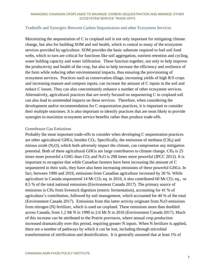# Tradeoffs and Synergies Between Carbon Sequestration and other Ecosystem Services

Maximizing the sequestration of C in cropland soil is not only important for mitigating climate change, but also for building SOM and soil health, which is central to many of the ecosystem services provided by agriculture. SOM provides the basic substrate required to fuel soil food webs, which in turn are critical for functions like soil aggregation, nutrient retention and cycling, water holding capacity and water infiltration. These function together, not only to help improve the productivity and health of the crop, but also to help increase the efficiency and resilience of the farm while reducing other environmental impacts, thus ensuring the provisioning of ecosystem services. Practices such as conservation tillage, increasing yields of high R/S crops and increasing manure and compost inputs, can increase the amount of C inputs in the soil and reduce C losses. They can also concomitantly enhance a number of other ecosystem services. Alternatively, agricultural practices that are overly focused on sequestering C in cropland soil can also lead to unintended impacts on these services. Therefore, when considering the development and/or recommendation for C sequestration practices, it is important to consider their multiple outcomes. It is also important to identify practices that are most likely to provide synergies to maximize ecosystem service benefits rather than produce trade-offs.

# Greenhouse Gas Emissions

Probably the most important trade-offs to consider when developing C sequestration practices are other agricultural GHGs, besides  $CO<sub>2</sub>$ . Specifically, the emissions of methane (CH<sub>4</sub>) and nitrous oxide  $(N_2O)$ , which both adversely impact the climate, can compromise any mitigation potential. Both of these agricultural GHGs are large contributors to climate change.  $CH_4$  is 25 times more powerful a GHG than  $CO<sub>2</sub>$  and  $N<sub>2</sub>O$  is 298 times more powerful (IPCC 2012). It is important to recognize that while Canadian farmers have been increasing the amount of C sequestered in their soils, they have also been increasing emissions of these powerful GHGs. In fact, between 1990 and 2016, emissions from Canadian agriculture increased by 26 %. While agriculture in Canada sequestered 14 Mt CO<sub>2</sub> eq. in 2016, it also contributed 60 Mt CO<sub>2</sub> eq., or 8.5 % of the total national emissions (Environment Canada 2017). The primary source of emissions is CH<sup>4</sup> from livestock digestion (enteric fermentation), accounting for 41 % of agriculture's contribution, followed by soil management, which accounted for 40 % of the total (Environment Canada 2017). Emissions from this latter activity originate from  $N_2O$  emissions from nitrogen (N) fertilizer, which is used on cropland. These emissions more than doubled across Canada, from 1.2 Mt N in 1990 to 2.6 Mt N in 2016 (Environment Canada 2017). Much of this increase can be attributed to the Prairie provinces, where annual crop production increased dramatically over this period, requiring greater N inputs. When N fertilizer is applied, there are a number of pathways by which it can be lost, including through microbial transformation of nitrification and denitrification. It is generally assumed that at least 1% of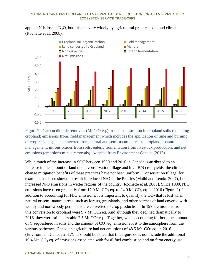applied N is lost as  $N_2O$ , but this can vary widely by agricultural practice, soil, and climate (Rochette et al. 2008).



<span id="page-9-0"></span>Figure 2. Carbon dioxide removals (Mt  $CO<sub>2</sub>$  eq.) from: sequestration in cropland soils remaining cropland; emissions from: field management which includes the application of lime and burning of crop residues; land converted from natural and semi-natural areas to cropland; manure management; nitrous oxides from soils; enteric fermentation from livestock production; and net emissions (emissions minus removals). Adapted from Environment Canada (2017).

While much of the increase in SOC between 1990 and 2016 in Canada is attributed to an increase in the amount of land under conservation tillage and high R/S crop yields, the climate change mitigation benefits of these practices have not been uniform. Conservation tillage, for example, has been shown to result in reduced  $N_2O$  in the Prairies (Malhi and Lemke 2007), but increased  $N_2O$  emissions in wetter regions of the country (Rochette et al. 2008). Since 1990,  $N_2O$ emissions have risen gradually from 17.0 Mt  $CO<sub>2</sub>$  eq. to 24.0 Mt  $CO<sub>2</sub>$  eq. in 2016 [\(Figure 2\)](#page-9-0). In addition to accounting for  $N_2O$  emissions, it is important to quantify the  $CO_2$  that is lost when natural or semi-natural areas, such as forests, grasslands, and other patches of land covered with woody and non-woody perennials are converted to crop production. In 1990, emissions from this conversion to cropland were 9.7 Mt  $CO<sub>2</sub>$  eq. And although they declined dramatically to 2016, they were still a sizeable 2.5 Mt  $CO<sub>2</sub>$  eq. Together, when accounting for both the amount of C sequestered in soils and the amount of  $CO<sub>2</sub>$  eq. emissions lost to the atmosphere from the various pathways, Canadian agriculture had net emissions of  $48.5$  Mt. CO<sub>2</sub> eq. in 2016 (Environment Canada 2017). It should be noted that this figure does not include the additional 19.4 Mt.  $CO<sub>2</sub>$  eq. of emissions associated with fossil fuel combustion and on farm energy use,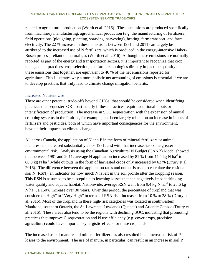related to agricultural production (Worth et al. 2016). These emissions are produced specifically from machinery manufacturing, agrochemical production (e.g. the manufacturing of fertilizers), field operations (ploughing, planting, spraying, harvesting), heating, farm transport, and farm electricity. The 22 % increase in these emissions between 1981 and 2011 can largely be attributed to the increased use of N fertilizers, which is produced in the energy-intensive Haber-Bosch process, reliant on natural gas (Worth et al. 2016). Although these emissions are normally reported as part of the energy and transportation sectors, it is important to recognize that crop management practices, crop selection, and farm technologies directly impact the quantity of these emissions that together, are equivalent to 40 % of the net emissions reported for agriculture. This illustrates why a more holistic net accounting of emissions is essential if we are to develop practices that truly lead to climate change mitigation benefits.

## Increased Nutrient Use

There are other potential trade-offs beyond GHGs, that should be considered when identifying practices that sequester SOC, particularly if these practices require additional inputs or intensification of production. The increase in SOC sequestration with the expansion of annual cropping systems in the Prairies, for example, has been largely reliant on an increase in inputs of fertilizers and pesticides, both of which have important consequences for the environment, beyond their impacts on climate change.

All across Canada, the application of N and P in the form of mineral fertilizers or animal manures has increased substantially since 1981, and with that increase has come greater environmental risk. Analysis using the Canadian Agricultural N Budget (CANB) Model showed that between 1981 and 2011, average N application increased by 81 % from 44.4 kg N ha<sup>-1</sup> to 80.8 kg N ha<sup>-1</sup>, while outputs in the form of harvested crops only increased by 63 % (Drury et al. 2016). The difference between the application rates and output is used to calculate the residual soil N (RSN), an indicator for how much N is left in the soil profile after the cropping season. This RSN is assumed to be susceptible to leaching losses that can negatively impact drinking water quality and aquatic habitat. Nationwide, average RSN went from 9.4 kg N ha<sup>-1</sup> to 23.6 kg N ha<sup>-1</sup>, a 150% increase over 30 years. Over this period, the percentage of cropland that was considered "High" to "Very High" in terms of RSN risk, increased from 10 % to 28 % (Drury et al. 2016). Most of the cropland in these high-risk categories was located in southwestern Manitoba, southern Ontario, the St. Lawrence Lowlands (Quebec) and Atlantic Canada (Drury et al. 2016). These areas also tend to be the regions with declining SOC, indicating that promoting practices that improve C sequestration and N use efficiency (e.g. cover crops, precision agriculture) could have important synergistic effects for these croplands.

The increased use of manure and mineral fertilizer has also resulted in an increased risk of P losses to the environment. The use of manure, in particular, can result in an increase in soil P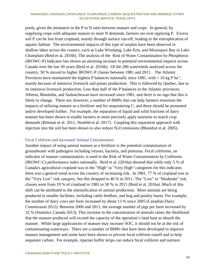pools, given the mismatch in the P to N ratio between manure and crops. In general, by supplying crops with adequate manure to meet N demands, farmers are over-applying P. Excess soil P can be lost from cropland, mainly through surface run-off, leading to the eutrophication of aquatic habitat. The environmental impacts of this type of surplus have been observed in shallow lakes across the country, such as Lake Winnipeg, Lake Erie, and Missisquoi Bay in Lake Champlain (Reid et al. 2016b). The analysis of the Risk of Water Contamination by Phosphorus (IROWC-P) Indicator has shown an alarming increase in potential environmental impacts across Canada over the last 30 years (Reid et al. 2016b). Of the 280 watersheds analyzed across the country, 50 % moved to higher IROWC-P classes between 1981 and 2011. The Atlantic Provinces have maintained the highest P balances nationally since 1981, with  $> 16$  kg P ha<sup>-1</sup>, mainly because of intensive livestock and potato production. This is followed by Quebec, due to its intensive livestock production. Less than half of the P balances in the Atlantic provinces, Alberta, Manitoba, and Saskatchewan have increased since 1981, and there is no sign that this is likely to change. There are, however, a number of BMPs that can help farmers minimize the impacts of utilizing manure as a fertilizer and for sequestering C, and these should be promoted and/or developed further. For example, the separation of liquid and solid fractions of dairy manure has been shown to enable farmers to more precisely apply nutrients to match crop demands (Bittman et al. 2011, Neufeld et al. 2017). Coupling this separation approach with injection into the soil has been shown to also reduce  $N_2O$  emissions (Bhandral et al. 2005).

## Fecal Coliform and Increased Animal Concentration

Another impact of using animal manure as a fertilizer is the potential contamination of groundwater with pathogens including viruses, bacteria, and protozoa. Fecal coliforms, an indicator of manure contamination, is used in the Risk of Water Contamination by Coliforms (IROWC-C) performance index nationally. Reid et al. (2016a) showed that while only 5 % of Canada's agricultural cropland was in the "High" to "Very High" categories for this indicator, there was a general trend across the country of increasing risk. In 1981, 77 % of cropland was in the "Very Low" risk category, but this dropped to 46 % in 2011. The "Low" to "Moderate" risk classes went from 19 % of cropland in 1981 to 50 % in 2011 (Reid et al. 2016a). Much of this shift can be attributed to the intensification of animal production. More animals are being produced in smaller facilities, including cattle feedlots, and hog and poultry barns. For example, the number of dairy cows per farm increased by about 13 % since 2005 (Canadian Dairy Commission 2012). Between 2006 and 2011, the average number of pigs per farm increased by 32 % (Statistics Canada 2013). This increase in the concentration of animals raises the likelihood that the manure produced will exceed the capacity of the operation's land base to absorb the manure. While large applications of manure may increase SOC, it should not be at the risk of contaminating waterways. There are a number of BMPs that have been developed to improve manure management and some have been shown to prevent fecal coliform runoff and to help sequester carbon. For example, riparian buffer strips can reduce fecal coliform and nutrient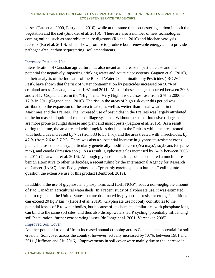losses (Tate et al. 2000, Entry et al. 2010), while at the same time sequestering carbon in both the vegetation and the soil (Smukler et al. 2010). There are also a number of new technologies coming online, such as anaerobic manure digestors (Ro et al. 2010) and biochar pyrolysis reactors (Ro et al. 2010), which show promise to produce both renewable energy and to provide pathogen-free, carbon sequestering, soil amendments.

# Increased Pesticide Use

Intensification of Canadian agriculture has also meant an increase in pesticide use and the potential for negatively impacting drinking water and aquatic ecosystems. Gagnon et al. (2016), in their analysis of the Indicator of the Risk of Water Contamination by Pesticides (IROWC-Pest), have shown that the risk of water contamination by pesticides increased on 50 % of cropland across Canada, between 1981 and 2011. Most of these changes occurred between 2006 and 2011. Cropland area in the "High" and "Very High" risk classes rose from 6 % in 2006 to 17 % in 2011 (Gagnon et al. 2016). The rise in the areas of high risk over this period was attributed to the expansion of the area treated, as well as wetter-than-usual weather in the Maritimes and the Prairies. The increased use of pesticides in the Prairies was largely attributed to the increased adoption of reduced tillage systems. Without the use of intensive tillage, soils are more prone to fungal disease and plant and insect pests (Gagnon et al. 2016). As a result, during this time, the area treated with fungicides doubled in the Prairies while the area treated with herbicides increased by 7 % (from 33 to 35.1 %), and the area treated with insecticides, by 47 % (from 2.6 to 3.7 %). There was also a substantial increase in glyphosate-resistant crops planted across the country, particularly genetically modified corn (Zea mays), soybeans (Glycine max), and canola (Brassica spp.). As a result, glyphosate sales increased by 24 % between 2008 to 2011 (Clearwater et al. 2016). Although glyphosate has long been considered a much more benign alternative to other herbicides, a recent ruling by the International Agency for Research on Cancer (IARC) classified glyphosate as "probably carcinogenic to humans," calling into question the extensive use of this product (Benbrook 2019).

In addition, the use of glyphosate, a phosphonic acid  $(C_3H_8NO_5P)$ , adds a non-negligible amount of P to Canadian agricultural watersheds. In a recent study of glyphosate use, it was estimated that in regions in the United States that are dominated by glyphosate-resistant crops, P additions can exceed 20 kg P km<sup>-2</sup> (Hébert et al. 2019). Glyphosate use not only contributes to the potential losses of P to water bodies, but because of its chemical similarities with phosphate ions, can bind to the same soil sites, and thus also disrupt watershed P cycling, potentially influencing soil P saturation, further exasperating losses (de Jonge et al. 2001, Vereecken 2005).

# Improved Soil Cover

Another potential trade-off from increased annual cropping across Canada is the potential for soil erosion. Soil cover across the country, however, actually increased by 7.6%, between 1981 and 2011 (Huffman and Liu 2016). Improvements in soil cover were mainly due to the increase in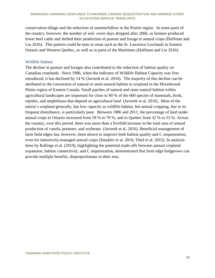conservation tillage and the reduction of summerfallow in the Prairie region. In some parts of the country, however, the number of soil- cover days dropped after 2006, as farmers produced fewer beef cattle and shifted their production of pasture and forage to annual crops (Huffman and Liu 2016). This pattern could be seen in areas such as the St. Lawrence Lowlands in Eastern Ontario and Western Quebec, as well as in parts of the Maritimes (Huffman and Liu 2016).

# Wildlife Habitat

The decline in pasture and forages also contributed to the reduction of habitat quality on Canadian croplands. Since 1986, when the indicator of Wildlife Habitat Capacity was first introduced, it has declined by 14 % (Javorek et al. 2016). The majority of this decline can be attributed to the conversion of natural or semi-natural habitat to cropland in the Mixedwood Plains region of Eastern Canada. Small patches of natural and semi-natural habitat within agricultural landscapes are important for close to 90 % of the 600 species of mammals, birds, reptiles, and amphibians that depend on agricultural land (Javorek et al. 2016). Most of the nation's cropland generally, has low capacity as wildlife habitat, but annual cropping, due to its frequent disturbance, is particularly poor. Between 1986 and 2011, the percentage of land under annual crops in Ontario increased from 59 % to 70 %, and in Quebec from 32 % to 53 %. Across the country, over this period, there was more than a fivefold increase in the total area of annual production of canola, potatoes, and soybeans (Javorek et al. 2016). Beneficial management of farm field edges has, however, been shown to improve both habitat quality and C sequestration, even for intensively-managed annual crops (Smukler et al. 2010, Thiel et al. 2015). In analysis done by Rallings et al. (2019), highlighting the potential trade-offs between annual cropland expansion, habitat connectivity, and C sequestration, demonstrated that farm edge hedgerows can provide multiple benefits, disproportionate to their area.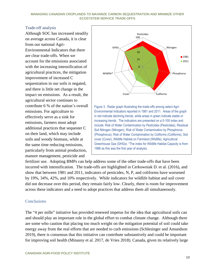## Trade-off analysis

Although SOC has increased steadily on average across Canada, it is clear from our national Agri-Environmental Indicators that there are clear trade-offs. When we account for the emissions associated with the increasing intensification of agricultural practices, the mitigation improvement of increased C sequestration in our soils is negated, and there is little net change in the impact on emissions. As a result, the agricultural sector continues to contribute 6 % of the nation's overall emissions. For agriculture to effectively serve as a sink for emissions, farmers must adopt additional practices that sequester C on their land, which may include soils and woody biomass, while at the same time reducing emissions, particularly from animal production, manure management, pesticide and



fertilizer use. Adopting BMPs can help address some of the other trade-offs that have been incurred with intensification. The trade-offs are highlighted in Cerkowniak D. et al. (2016), and show that between 1981 and 2011, indicators of pesticides, N, P, and coliforms have worsened by 19%, 34%, 42%, and 10% respectively. While indicators for wildlife habitat and soil cover did not decrease over this period, they remain fairly low. Clearly, there is room for improvement across these indicators and a need to adopt practices that address them all simultaneously.

# **Conclusions**

The "4 per mille" initiative has provided renewed impetus for the idea that agricultural soils can and should play an important role in the global effort to combat climate change. Although there are some who caution that placing too much weight on the mitigation potential of soil could take energy away from the real efforts that are needed to curb emissions (Schlesinger and Amundson 2019), there is consensus that this initiative can contribute substantively and could be important for improving soil health (Minasny et al. 2017, de Vries 2018). Canada, given its relatively large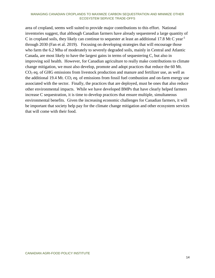area of cropland, seems well suited to provide major contributions to this effort. National inventories suggest, that although Canadian farmers have already sequestered a large quantity of C in cropland soils, they likely can continue to sequester at least an additional 17.8 Mt C year<sup>-1</sup> through 2030 (Fan et al. 2019). Focusing on developing strategies that will encourage those who farm the 6.2 Mha of moderately to severely degraded soils, mainly in Central and Atlantic Canada, are most likely to have the largest gains in terms of sequestering C, but also in improving soil health. However, for Canadian agriculture to really make contributions to climate change mitigation, we must also develop, promote and adopt practices that reduce the 60 Mt.  $CO<sub>2</sub>$  eq. of GHG emissions from livestock production and manure and fertilizer use, as well as the additional 19.4 Mt.  $CO<sub>2</sub>$  eq. of emissions from fossil fuel combustion and on-farm energy use associated with the sector. Finally, the practices that are deployed, must be ones that also reduce other environmental impacts. While we have developed BMPs that have clearly helped farmers increase C sequestration, it is time to develop practices that ensure multiple, simultaneous environmental benefits. Given the increasing economic challenges for Canadian farmers, it will be important that society help pay for the climate change mitigation and other ecosystem services that will come with their food.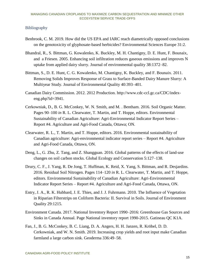# Bibliography

- Benbrook, C. M. 2019. How did the US EPA and IARC reach diametrically opposed conclusions on the genotoxicity of glyphosate-based herbicides? Environmental Sciences Europe 31:2.
- Bhandral, R., S. Bittman, G. Kowalenko, K. Buckley, M. H. Chantigny, D. E. Hunt, F. Bounaix, and a Friesen. 2005. Enhancing soil infiltration reduces gaseous emissions and improves N uptake from applied dairy slurry. Journal of environmental quality 38:1372–82.
- Bittman, S., D. E. Hunt, C. G. Kowalenko, M. Chantigny, K. Buckley, and F. Bounaix. 2011. Removing Solids Improves Response of Grass to Surface-Banded Dairy Manure Slurry: A Multiyear Study. Journal of Environmental Quality 40:393–401.
- Canadian Dairy Commission. 2012. 2012 Production. http://www.cdc-ccl.gc.ca/CDC/indexeng.php?id=3941.
- Cerkowniak, D., B. G. McConkey, W. N. Smith, and M. . Bentham. 2016. Soil Organic Matter. Pages 90–100 *in* R. L. Clearwater, T. Martin, and T. Hoppe, editors. Environmental Sustainability of Canadian Agriculture: Agri-Environmental Indicator Report Series – Report #4. Agriculture and Agri-Food Canada, Ottawa; ON.
- Clearwater, R. L., T. Martin, and T. Hoppe, editors. 2016. Environmental sustainability of Canadian agriculture: Agri-environmental indicator report series – Report #4. Agriculture and Agri-Food Canada, Ottawa, ON.
- Deng, L., G. Zhu, Z. Tang, and Z. Shangguan. 2016. Global patterns of the effects of land-use changes on soil carbon stocks. Global Ecology and Conservation 5:127–138.
- Drury, C. F., J. Yang, R. De Jong, T. Huffman, K. Reid, X. Yang, S. Bittman, and R. Desjardins. 2016. Residual Soil Nitrogen. Pages 114–120 *in* R. L. Clearwater, T. Martin, and T. Hoppe, editors. Environmental Sustainability of Canadian Agriculture: Agri-Environmental Indicator Report Series – Report #4. Agriculture and Agri-Food Canada, Ottawa, ON.
- Entry, J. A., R. K. Hubbard, J. E. Thies, and J. J. Fuhrmann. 2010. The Influence of Vegetation in Riparian Filterstrips on Coliform Bacteria: II. Survival in Soils. Journal of Environment Quality 29:1215.
- Environment Canada. 2017. National Inventory Report 1990–2016: Greenhouse Gas Sources and Sinks in Canada Annual. Page National inventory report 1990-2015. Gatineau QC K1A.
- Fan, J., B. G. McConkey, B. C. Liang, D. A. Angers, H. H. Janzen, R. Kröbel, D. D. Cerkowniak, and W. N. Smith. 2019. Increasing crop yields and root input make Canadian farmland a large carbon sink. Geoderma 336:49–58.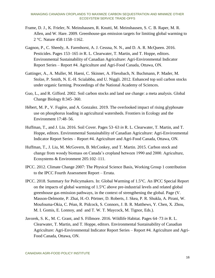- Frame, D. J., K. Frieler, N. Meinshausen, R. Knutti, M. Meinshausen, S. C. B. Raper, M. R. Allen, and W. Hare. 2009. Greenhouse-gas emission targets for limiting global warming to 2 °C. Nature 458:1158–1162.
- Gagnon, P., C. Sheedy, A. Farenhorst, A. J. Cessna, N. N., and D. A. R. McQueen. 2016. Pesticides. Pages 153–165 *in* R. L. Clearwater, T. Martin, and T. Hoppe, editors. Environmental Sustainability of Canadian Agriculture: Agri-Environmental Indicator Report Series – Report #4. Agriculture and Agri-Food Canada, Ottawa, ON.
- Gattinger, A., A. Muller, M. Haeni, C. Skinner, A. Fliessbach, N. Buchmann, P. Mader, M. Stolze, P. Smith, N. E.-H. Scialabba, and U. Niggli. 2012. Enhanced top soil carbon stocks under organic farming. Proceedings of the National Academy of Sciences.
- Guo, L., and R. Gifford. 2002. Soil carbon stocks and land use change: a meta analysis. Global Change Biology 8:345–360.
- Hébert, M. P., V. Fugère, and A. Gonzalez. 2019. The overlooked impact of rising glyphosate use on phosphorus loading in agricultural watersheds. Frontiers in Ecology and the Environment 17:48–56.
- Huffman, T., and J. Liu. 2016. Soil Cover. Pages 53–63 *in* R. L. Clearwater, T. Martin, and T. Hoppe, editors. Environmental Sustainability of Canadian Agriculture: Agri-Environmental Indicator Report Series – Report #4. Agriculture and Agri-Food Canada, Ottawa, ON.
- Huffman, T., J. Liu, M. McGovern, B. McConkey, and T. Martin. 2015. Carbon stock and change from woody biomass on Canada's cropland between 1990 and 2000. Agriculture, Ecosystems & Environment 205:102–111.
- IPCC. 2012. Climate Change 2007: The Physical Science Basis, Working Group 1 contribution to the IPCC Fourth Assessment Report – Errata.
- IPCC. 2018. Summary for Policymakers. In: Global Warming of 1.5°C. An IPCC Special Report on the impacts of global warming of 1.5°C above pre-industrial levels and related global greenhouse gas emission pathways, in the context of strengthening the global. Page (V. Masson-Delmotte, P. Zhai, H.-O. Pörtner, D. Roberts, J. Skea, P. R. Shukla, A. Pirani, W. Moufouma-Okia, C. Péan, R. Pidcock, S. Connors, J. B. R. Matthews, Y. Chen, X. Zhou, M. I. Gomis, E. Lonnoy, and and T. W. T. Maycock, M. Tignor, Eds.).
- Javorek, S. K., M. C. Grant, and S. Fillmore. 2016. Wildlife Habitat. Pages 64–73 *in* R. L. Clearwater, T. Martin, and T. Hoppe, editors. Environmental Sustainability of Canadian Agriculture: Agri-Environmental Indicator Report Series – Report #4. Agriculture and Agri-Food Canada, Ottawa, ON.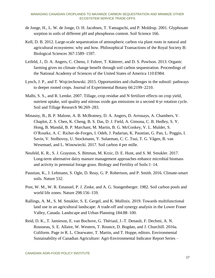- de Jonge, H., L. W. de Jonge, O. H. Jacobsen, T. Yamaguchi, and P. Moldrup. 2001. Glyphosate sorption in soils of different pH and phosphorus content. Soil Science 166.
- Kell, D. B. 2012. Large-scale sequestration of atmospheric carbon via plant roots in natural and agricultural ecosystems: why and how. Philosophical Transactions of the Royal Society B: Biological Sciences 367:1589–1597.
- Leifeld, J., D. A. Angers, C. Chenu, J. Fuhrer, T. Kätterer, and D. S. Powlson. 2013. Organic farming gives no climate change benefit through soil carbon sequestration. Proceedings of the National Academy of Sciences of the United States of America 110:E984.
- Lynch, J. P., and T. Wojciechowski. 2015. Opportunities and challenges in the subsoil: pathways to deeper rooted crops. Journal of Experimental Botany 66:2199–2210.
- Malhi, S. S., and R. Lemke. 2007. Tillage, crop residue and N fertilizer effects on crop yield, nutrient uptake, soil quality and nitrous oxide gas emissions in a second 4-yr rotation cycle. Soil and Tillage Research 96:269–283.
- Minasny, B., B. P. Malone, A. B. McBratney, D. A. Angers, D. Arrouays, A. Chambers, V. Chaplot, Z. S. Chen, K. Cheng, B. S. Das, D. J. Field, A. Gimona, C. B. Hedley, S. Y. Hong, B. Mandal, B. P. Marchant, M. Martin, B. G. McConkey, V. L. Mulder, S. O'Rourke, A. C. Richer-de-Forges, I. Odeh, J. Padarian, K. Paustian, G. Pan, L. Poggio, I. Savin, V. Stolbovoy, U. Stockmann, Y. Sulaeman, C. C. Tsui, T. G. Vågen, B. van Wesemael, and L. Winowiecki. 2017. Soil carbon 4 per mille.
- Neufeld, K. R., S. J. Grayston, S. Bittman, M. Krzic, D. E. Hunt, and S. M. Smukler. 2017. Long-term alternative dairy manure management approaches enhance microbial biomass and activity in perennial forage grass. Biology and Fertility of Soils:1–14.
- Paustian, K., J. Lehmann, S. Ogle, D. Reay, G. P. Robertson, and P. Smith. 2016. Climate-smart soils. Nature 532.
- Post, W. M., W. R. Emanuel, P. J. Zinke, and A. G. Stangenberger. 1982. Soil carbon pools and world life zones. Nature 298:156–159.
- Rallings, A. M., S. M. Smukler, S. E. Gergel, and K. Mullinix. 2019. Towards multifunctional land use in an agricultural landscape: A trade-off and synergy analysis in the Lower Fraser Valley, Canada. Landscape and Urban Planning 184:88–100.
- Reid, D. K., T. Jamieson, E. van Bochove, G. Thériaul, J.-T. Denault, F. Dechmi, A. N. Rousseau, S. E. Allaire, W. Western, T. Rounce, D. Bogdan, and J. Churchill. 2016a. Coliform. Page *in* R. L. Clearwater, T. Martin, and T. Hoppe, editors. Environmental Sustainability of Canadian Agriculture: Agri-Environmental Indicator Report Series –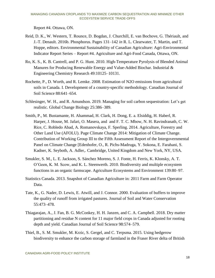Report #4. Ottawa, ON.

- Reid, D. K., W. Western, T. Rounce, D. Bogdan, J. Churchill, E. van Bochove, G. Thériault, and J.-T. Denault. 2016b. Phosphorus. Pages 131–142 *in* R. L. Clearwater, T. Martin, and T. Hoppe, editors. Environmental Sustainability of Canadian Agriculture: Agri-Environmental Indicator Report Series – Report #4. Agriculture and Agri-Food Canada, Ottawa, ON.
- Ro, K. S., K. B. Cantrell, and P. G. Hunt. 2010. High-Temperature Pyrolysis of Blended Animal Manures for Producing Renewable Energy and Value-Added Biochar. Industrial & Engineering Chemistry Research 49:10125–10131.
- Rochette, P., D. Worth, and R. Lemke. 2008. Estimation of N2O emissions from agricultural soils in Canada. I. Development of a country-specific methodology. Canadian Journal of Soil Science 88:641–654.
- Schlesinger, W. H., and R. Amundson. 2019. Managing for soil carbon sequestration: Let's get realistic. Global Change Biology 25:386–389.
- Smith, P., M. Bustamante, H. Ahammad, H. Clark, H. Dong, E. a. Elsiddig, H. Haberl, R. Harper, J. House, M. Jafari, O. Masera, and and F. T. C. Mbow, N. H. Ravindranath, C. W. Rice, C. Robledo Abad, A. Romanovskaya, F. Sperling. 2014. Agriculture, Forestry and Other Land Use (AFOLU). Page Climate Change 2014: Mitigation of Climate Change. Contribution of Working Group III to the Fifth Assessment Report of the Intergovernmental Panel on Climate Change [Edenhofer, O., R. Pichs-Madruga, Y. Sokona, E. Farahani, S. Kadner, K. Seyboth, A. Adler,. Cambridge, United Kingdom and New York, NY, USA.
- Smukler, S. M., L. E. Jackson, S. Sánchez Moreno, S. J. Fonte, H. Ferris, K. Klonsky, A. T. O'Geen, K. M. Scow, and K. L. Steenwerth. 2010. Biodiversity and multiple ecosystem functions in an organic farmscape. Agriculture Ecosystems and Environment 139:80–97.
- Statistics Canada. 2013. Snapshot of Canadian Agriculture in: 2011 Farm and Farm Operator Data.
- Tate, K., G. Nader, D. Lewis, E. Atwill, and J. Connor. 2000. Evaluation of buffers to improve the quality of runoff from irrigated pastures. Journal of Soil and Water Conservation 55:473–478.
- Thiagarajan, A., J. Fan, B. G. McConkey, H. H. Janzen, and C. A. Campbell. 2018. Dry matter partitioning and residue N content for 11 major field crops in Canada adjusted for rooting depth and yield. Canadian Journal of Soil Science 98:574–579.
- Thiel, B., S. M. Smukler, M. Krzic, S. Gergel, and C. Terpsma. 2015. Using hedgerow biodiversity to enhance the carbon storage of farmland in the Fraser River delta of British